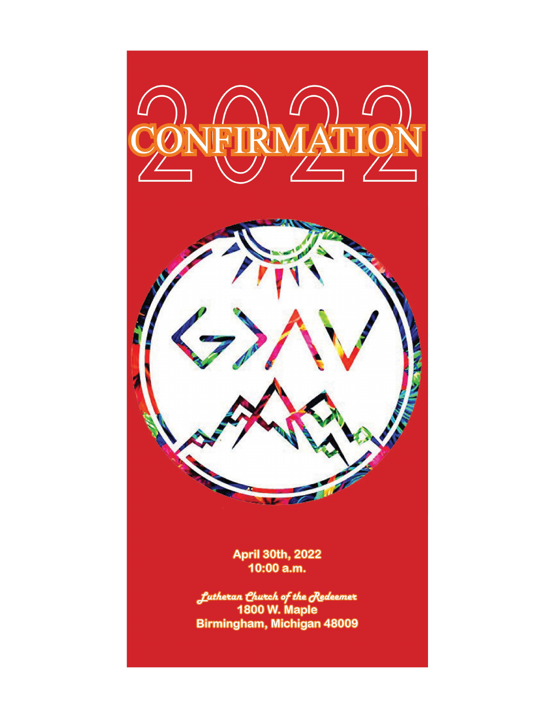

*Lutheran Church of the Redeemer*<br>1800 W. Maple Birmingham, Michigan 48009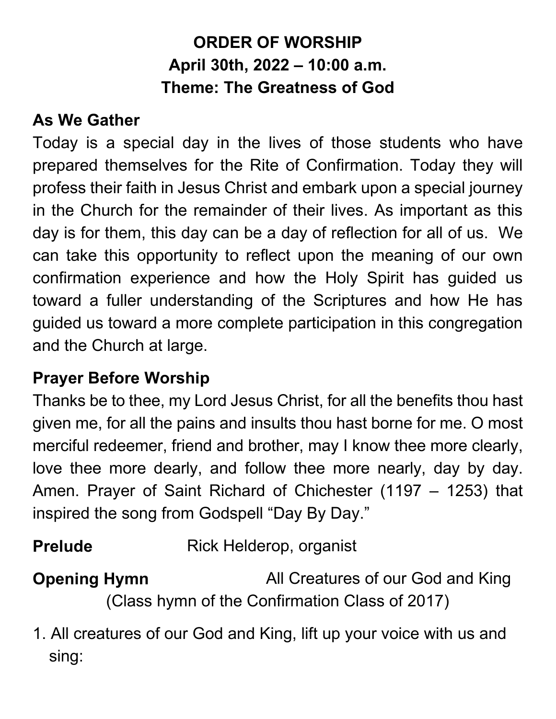# **ORDER OF WORSHIP April 30th, 2022 – 10:00 a.m. Theme: The Greatness of God**

## **As We Gather**

Today is a special day in the lives of those students who have prepared themselves for the Rite of Confirmation. Today they will profess their faith in Jesus Christ and embark upon a special journey in the Church for the remainder of their lives. As important as this day is for them, this day can be a day of reflection for all of us. We can take this opportunity to reflect upon the meaning of our own confirmation experience and how the Holy Spirit has guided us toward a fuller understanding of the Scriptures and how He has guided us toward a more complete participation in this congregation and the Church at large.

## **Prayer Before Worship**

Thanks be to thee, my Lord Jesus Christ, for all the benefits thou hast given me, for all the pains and insults thou hast borne for me. O most merciful redeemer, friend and brother, may I know thee more clearly, love thee more dearly, and follow thee more nearly, day by day. Amen. Prayer of Saint Richard of Chichester (1197 – 1253) that inspired the song from Godspell "Day By Day."

# **Prelude** Rick Helderop, organist

**Opening Hymn** All Creatures of our God and King (Class hymn of the Confirmation Class of 2017)

1. All creatures of our God and King, lift up your voice with us and sing: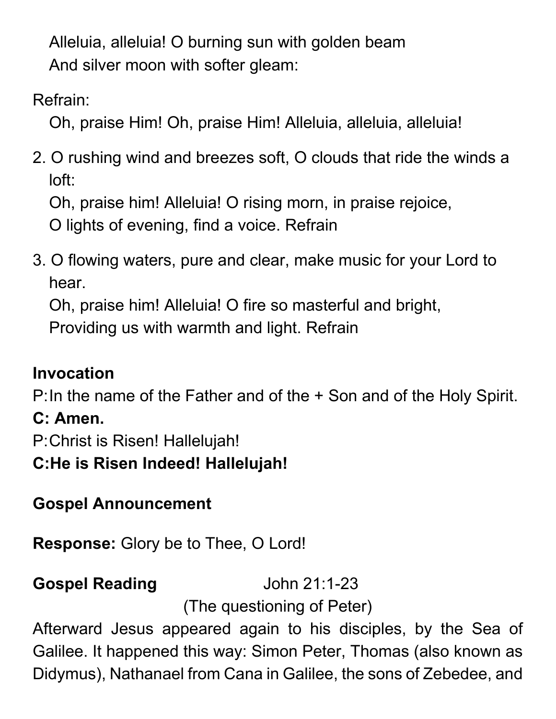Alleluia, alleluia! O burning sun with golden beam And silver moon with softer gleam:

Refrain:

Oh, praise Him! Oh, praise Him! Alleluia, alleluia, alleluia!

2. O rushing wind and breezes soft, O clouds that ride the winds a loft:

Oh, praise him! Alleluia! O rising morn, in praise rejoice,

O lights of evening, find a voice. Refrain

3. O flowing waters, pure and clear, make music for your Lord to hear.

Oh, praise him! Alleluia! O fire so masterful and bright, Providing us with warmth and light. Refrain

# **Invocation**

P:In the name of the Father and of the + Son and of the Holy Spirit.

## **C: Amen.**

P:Christ is Risen! Hallelujah!

**C:He is Risen Indeed! Hallelujah!**

# **Gospel Announcement**

**Response:** Glory be to Thee, O Lord!

# **Gospel Reading** John 21:1-23

(The questioning of Peter)

Afterward Jesus appeared again to his disciples, by the Sea of Galilee. It happened this way: Simon Peter, Thomas (also known as Didymus), Nathanael from Cana in Galilee, the sons of Zebedee, and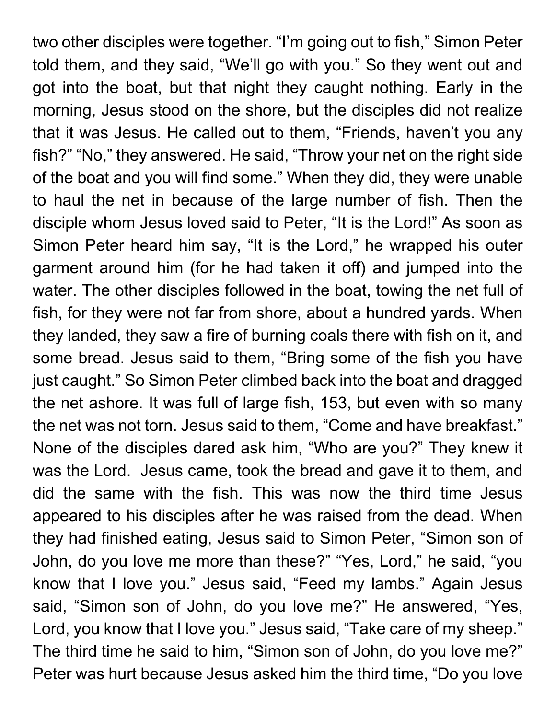two other disciples were together. "I'm going out to fish," Simon Peter told them, and they said, "We'll go with you." So they went out and got into the boat, but that night they caught nothing. Early in the morning, Jesus stood on the shore, but the disciples did not realize that it was Jesus. He called out to them, "Friends, haven't you any fish?" "No," they answered. He said, "Throw your net on the right side of the boat and you will find some." When they did, they were unable to haul the net in because of the large number of fish. Then the disciple whom Jesus loved said to Peter, "It is the Lord!" As soon as Simon Peter heard him say, "It is the Lord," he wrapped his outer garment around him (for he had taken it off) and jumped into the water. The other disciples followed in the boat, towing the net full of fish, for they were not far from shore, about a hundred yards. When they landed, they saw a fire of burning coals there with fish on it, and some bread. Jesus said to them, "Bring some of the fish you have just caught." So Simon Peter climbed back into the boat and dragged the net ashore. It was full of large fish, 153, but even with so many the net was not torn. Jesus said to them, "Come and have breakfast." None of the disciples dared ask him, "Who are you?" They knew it was the Lord. Jesus came, took the bread and gave it to them, and did the same with the fish. This was now the third time Jesus appeared to his disciples after he was raised from the dead. When they had finished eating, Jesus said to Simon Peter, "Simon son of John, do you love me more than these?" "Yes, Lord," he said, "you know that I love you." Jesus said, "Feed my lambs." Again Jesus said, "Simon son of John, do you love me?" He answered, "Yes, Lord, you know that I love you." Jesus said, "Take care of my sheep." The third time he said to him, "Simon son of John, do you love me?" Peter was hurt because Jesus asked him the third time, "Do you love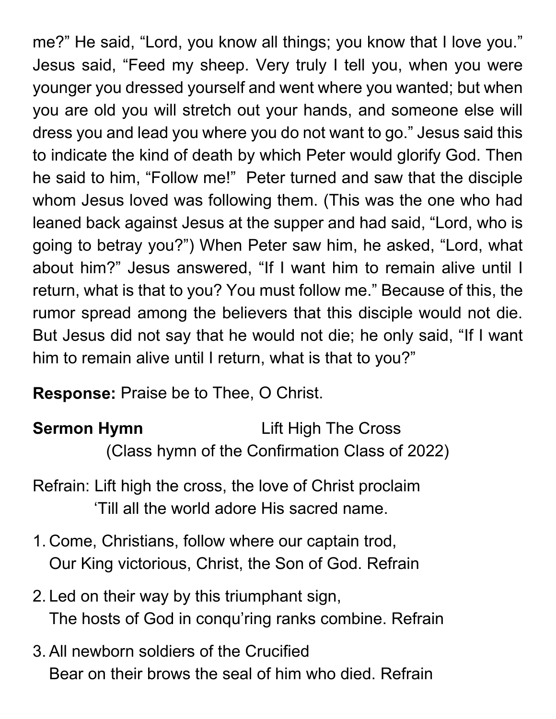me?" He said, "Lord, you know all things; you know that I love you." Jesus said, "Feed my sheep. Very truly I tell you, when you were younger you dressed yourself and went where you wanted; but when you are old you will stretch out your hands, and someone else will dress you and lead you where you do not want to go." Jesus said this to indicate the kind of death by which Peter would glorify God. Then he said to him, "Follow me!" Peter turned and saw that the disciple whom Jesus loved was following them. (This was the one who had leaned back against Jesus at the supper and had said, "Lord, who is going to betray you?") When Peter saw him, he asked, "Lord, what about him?" Jesus answered, "If I want him to remain alive until I return, what is that to you? You must follow me." Because of this, the rumor spread among the believers that this disciple would not die. But Jesus did not say that he would not die; he only said, "If I want him to remain alive until I return, what is that to you?"

**Response:** Praise be to Thee, O Christ.

**Sermon Hymn** Lift High The Cross (Class hymn of the Confirmation Class of 2022)

Refrain: Lift high the cross, the love of Christ proclaim 'Till all the world adore His sacred name.

- 1. Come, Christians, follow where our captain trod, Our King victorious, Christ, the Son of God. Refrain
- 2. Led on their way by this triumphant sign, The hosts of God in conqu'ring ranks combine. Refrain
- 3. All newborn soldiers of the Crucified Bear on their brows the seal of him who died. Refrain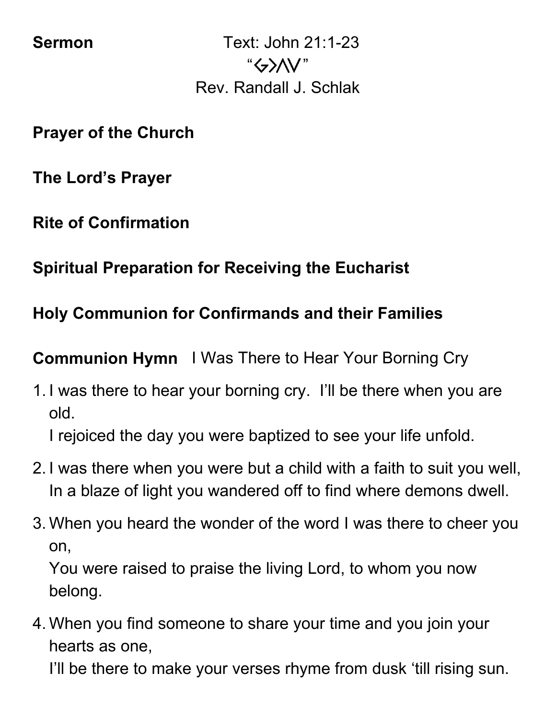**Sermon** Text: John 21:1-23 " $\langle \rangle$ Rev. Randall J. Schlak

**Prayer of the Church**

**The Lord's Prayer**

**Rite of Confirmation**

# **Spiritual Preparation for Receiving the Eucharist**

## **Holy Communion for Confirmands and their Families**

**Communion Hymn** I Was There to Hear Your Borning Cry

1. I was there to hear your borning cry. I'll be there when you are old.

I rejoiced the day you were baptized to see your life unfold.

- 2. I was there when you were but a child with a faith to suit you well, In a blaze of light you wandered off to find where demons dwell.
- 3. When you heard the wonder of the word I was there to cheer you on,

You were raised to praise the living Lord, to whom you now belong.

- 4. When you find someone to share your time and you join your hearts as one,
	- I'll be there to make your verses rhyme from dusk 'till rising sun.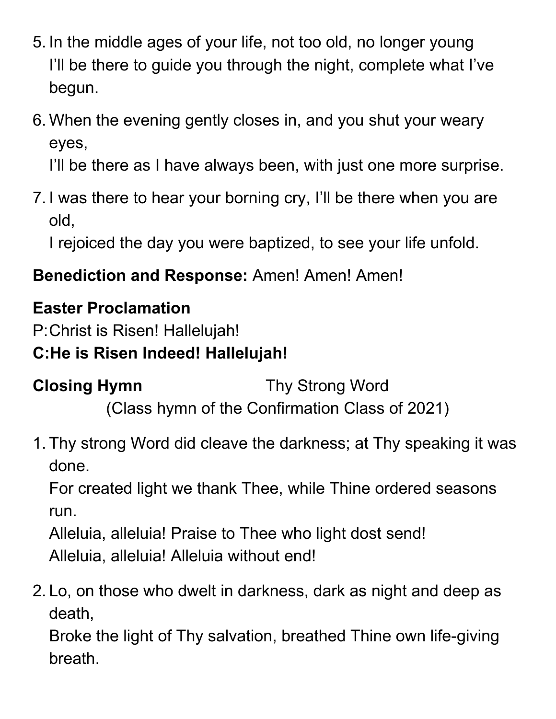- 5. In the middle ages of your life, not too old, no longer young I'll be there to guide you through the night, complete what I've begun.
- 6. When the evening gently closes in, and you shut your weary eyes,

I'll be there as I have always been, with just one more surprise.

7. I was there to hear your borning cry, I'll be there when you are old,

I rejoiced the day you were baptized, to see your life unfold.

## **Benediction and Response:** Amen! Amen! Amen!

### **Easter Proclamation**

P:Christ is Risen! Hallelujah!

## **C:He is Risen Indeed! Hallelujah!**

**Closing Hymn** Thy Strong Word

(Class hymn of the Confirmation Class of 2021)

1. Thy strong Word did cleave the darkness; at Thy speaking it was done.

For created light we thank Thee, while Thine ordered seasons run.

Alleluia, alleluia! Praise to Thee who light dost send! Alleluia, alleluia! Alleluia without end!

2. Lo, on those who dwelt in darkness, dark as night and deep as death,

Broke the light of Thy salvation, breathed Thine own life-giving breath.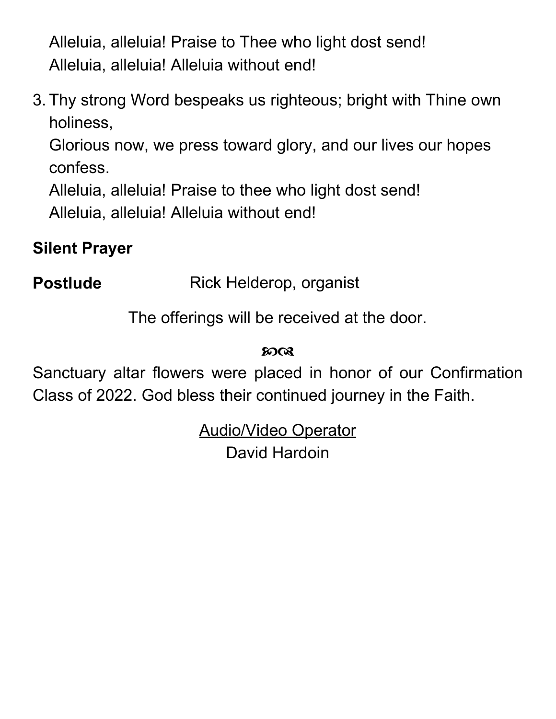Alleluia, alleluia! Praise to Thee who light dost send! Alleluia, alleluia! Alleluia without end!

3. Thy strong Word bespeaks us righteous; bright with Thine own holiness,

Glorious now, we press toward glory, and our lives our hopes confess.

Alleluia, alleluia! Praise to thee who light dost send!

Alleluia, alleluia! Alleluia without end!

# **Silent Prayer**

**Postlude** Rick Helderop, organist

The offerings will be received at the door.

### $2003$

Sanctuary altar flowers were placed in honor of our Confirmation Class of 2022. God bless their continued journey in the Faith.

> Audio/Video Operator David Hardoin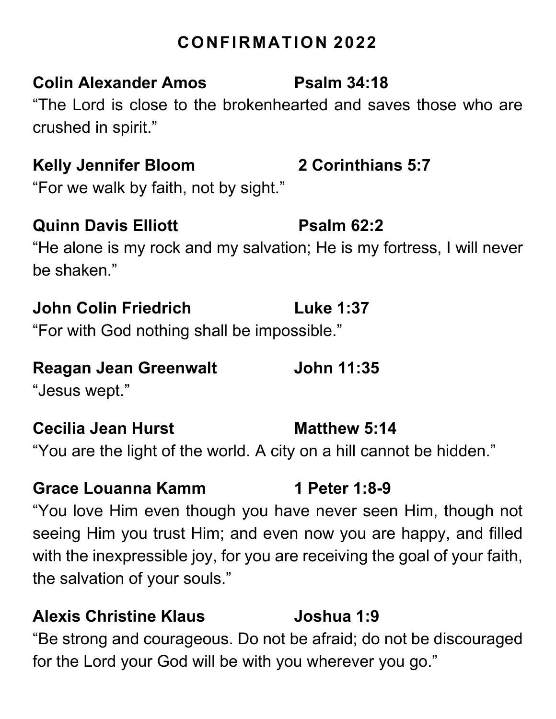## **CONFIRMATION 2022**

### **Colin Alexander Amos Psalm 34:18**

"The Lord is close to the brokenhearted and saves those who are crushed in spirit."

## **Kelly Jennifer Bloom 2 Corinthians 5:7**

"For we walk by faith, not by sight."

### **Quinn Davis Elliott Psalm 62:2**

"He alone is my rock and my salvation; He is my fortress, I will never be shaken."

### **John Colin Friedrich Luke 1:37**

"For with God nothing shall be impossible."

### **Reagan Jean Greenwalt John 11:35**

"Jesus wept."

### **Cecilia Jean Hurst Matthew 5:14**

"You are the light of the world. A city on a hill cannot be hidden."

### **Grace Louanna Kamm 1 Peter 1:8-9**

"You love Him even though you have never seen Him, though not seeing Him you trust Him; and even now you are happy, and filled with the inexpressible joy, for you are receiving the goal of your faith, the salvation of your souls."

### **Alexis Christine Klaus Joshua 1:9**

"Be strong and courageous. Do not be afraid; do not be discouraged for the Lord your God will be with you wherever you go."